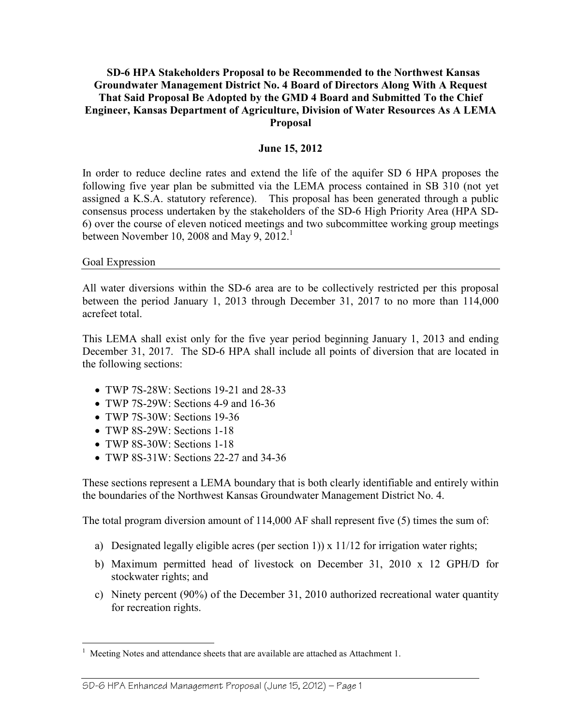#### **SD-6 HPA Stakeholders Proposal to be Recommended to the Northwest Kansas Groundwater Management District No. 4 Board of Directors Along With A Request That Said Proposal Be Adopted by the GMD 4 Board and Submitted To the Chief Engineer, Kansas Department of Agriculture, Division of Water Resources As A LEMA Proposal**

#### **June 15, 2012**

In order to reduce decline rates and extend the life of the aquifer SD 6 HPA proposes the following five year plan be submitted via the LEMA process contained in SB 310 (not yet assigned a K.S.A. statutory reference). This proposal has been generated through a public consensus process undertaken by the stakeholders of the SD-6 High Priority Area (HPA SD-6) over the course of eleven noticed meetings and two subcommittee working group meetings between November 10, 2008 and May 9,  $2012<sup>1</sup>$ 

#### Goal Expression

<u>.</u>

All water diversions within the SD-6 area are to be collectively restricted per this proposal between the period January 1, 2013 through December 31, 2017 to no more than 114,000 acrefeet total.

This LEMA shall exist only for the five year period beginning January 1, 2013 and ending December 31, 2017. The SD-6 HPA shall include all points of diversion that are located in the following sections:

- TWP 7S-28W: Sections 19-21 and 28-33
- TWP 7S-29W: Sections 4-9 and 16-36
- TWP 7S-30W: Sections 19-36
- TWP 8S-29W: Sections 1-18
- TWP 8S-30W: Sections 1-18
- TWP 8S-31W: Sections 22-27 and 34-36

These sections represent a LEMA boundary that is both clearly identifiable and entirely within the boundaries of the Northwest Kansas Groundwater Management District No. 4.

The total program diversion amount of 114,000 AF shall represent five (5) times the sum of:

- a) Designated legally eligible acres (per section 1)) x  $11/12$  for irrigation water rights;
- b) Maximum permitted head of livestock on December 31, 2010 x 12 GPH/D for stockwater rights; and
- c) Ninety percent (90%) of the December 31, 2010 authorized recreational water quantity for recreation rights.

#### SD-6 HPA Enhanced Management Proposal (June 15, 2012) — Page 1

<sup>1</sup> Meeting Notes and attendance sheets that are available are attached as Attachment 1.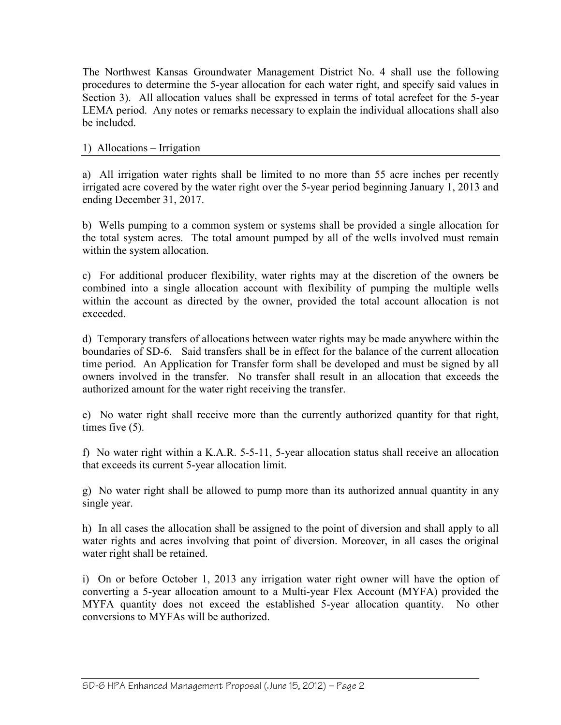The Northwest Kansas Groundwater Management District No. 4 shall use the following procedures to determine the 5-year allocation for each water right, and specify said values in Section 3). All allocation values shall be expressed in terms of total acrefeet for the 5-year LEMA period. Any notes or remarks necessary to explain the individual allocations shall also be included.

## 1) Allocations – Irrigation

a) All irrigation water rights shall be limited to no more than 55 acre inches per recently irrigated acre covered by the water right over the 5-year period beginning January 1, 2013 and ending December 31, 2017.

b) Wells pumping to a common system or systems shall be provided a single allocation for the total system acres. The total amount pumped by all of the wells involved must remain within the system allocation.

c) For additional producer flexibility, water rights may at the discretion of the owners be combined into a single allocation account with flexibility of pumping the multiple wells within the account as directed by the owner, provided the total account allocation is not exceeded.

d) Temporary transfers of allocations between water rights may be made anywhere within the boundaries of SD-6. Said transfers shall be in effect for the balance of the current allocation time period. An Application for Transfer form shall be developed and must be signed by all owners involved in the transfer. No transfer shall result in an allocation that exceeds the authorized amount for the water right receiving the transfer.

e) No water right shall receive more than the currently authorized quantity for that right, times five (5).

f) No water right within a K.A.R. 5-5-11, 5-year allocation status shall receive an allocation that exceeds its current 5-year allocation limit.

g) No water right shall be allowed to pump more than its authorized annual quantity in any single year.

h) In all cases the allocation shall be assigned to the point of diversion and shall apply to all water rights and acres involving that point of diversion. Moreover, in all cases the original water right shall be retained.

i) On or before October 1, 2013 any irrigation water right owner will have the option of converting a 5-year allocation amount to a Multi-year Flex Account (MYFA) provided the MYFA quantity does not exceed the established 5-year allocation quantity. No other conversions to MYFAs will be authorized.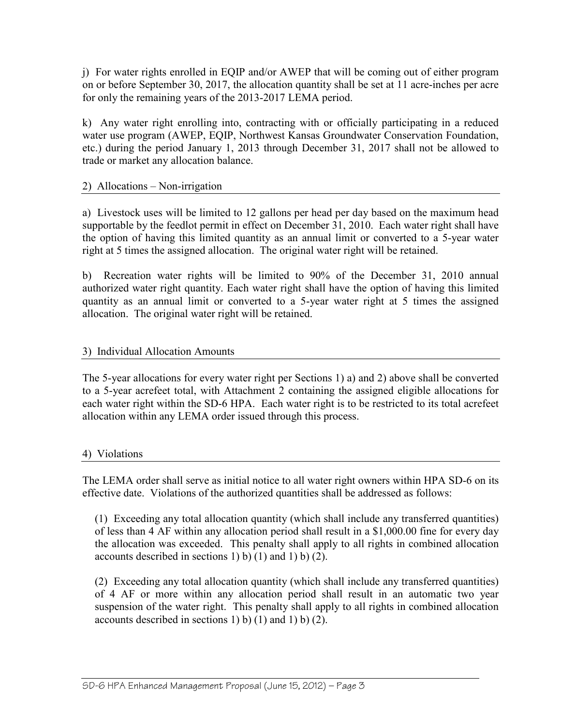j) For water rights enrolled in EQIP and/or AWEP that will be coming out of either program on or before September 30, 2017, the allocation quantity shall be set at 11 acre-inches per acre for only the remaining years of the 2013-2017 LEMA period.

k) Any water right enrolling into, contracting with or officially participating in a reduced water use program (AWEP, EQIP, Northwest Kansas Groundwater Conservation Foundation, etc.) during the period January 1, 2013 through December 31, 2017 shall not be allowed to trade or market any allocation balance.

# 2) Allocations – Non-irrigation

a) Livestock uses will be limited to 12 gallons per head per day based on the maximum head supportable by the feedlot permit in effect on December 31, 2010. Each water right shall have the option of having this limited quantity as an annual limit or converted to a 5-year water right at 5 times the assigned allocation. The original water right will be retained.

b) Recreation water rights will be limited to 90% of the December 31, 2010 annual authorized water right quantity. Each water right shall have the option of having this limited quantity as an annual limit or converted to a 5-year water right at 5 times the assigned allocation. The original water right will be retained.

### 3) Individual Allocation Amounts

The 5-year allocations for every water right per Sections 1) a) and 2) above shall be converted to a 5-year acrefeet total, with Attachment 2 containing the assigned eligible allocations for each water right within the SD-6 HPA. Each water right is to be restricted to its total acrefeet allocation within any LEMA order issued through this process.

### 4) Violations

The LEMA order shall serve as initial notice to all water right owners within HPA SD-6 on its effective date. Violations of the authorized quantities shall be addressed as follows:

(1) Exceeding any total allocation quantity (which shall include any transferred quantities) of less than 4 AF within any allocation period shall result in a \$1,000.00 fine for every day the allocation was exceeded. This penalty shall apply to all rights in combined allocation accounts described in sections 1) b) (1) and 1) b) (2).

(2) Exceeding any total allocation quantity (which shall include any transferred quantities) of 4 AF or more within any allocation period shall result in an automatic two year suspension of the water right. This penalty shall apply to all rights in combined allocation accounts described in sections 1) b)  $(1)$  and 1) b)  $(2)$ .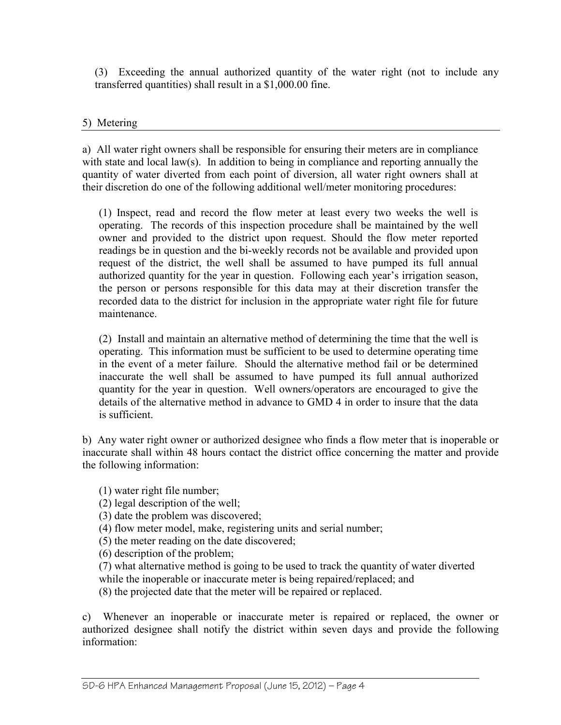(3) Exceeding the annual authorized quantity of the water right (not to include any transferred quantities) shall result in a \$1,000.00 fine.

# 5) Metering

a) All water right owners shall be responsible for ensuring their meters are in compliance with state and local law(s). In addition to being in compliance and reporting annually the quantity of water diverted from each point of diversion, all water right owners shall at their discretion do one of the following additional well/meter monitoring procedures:

(1) Inspect, read and record the flow meter at least every two weeks the well is operating. The records of this inspection procedure shall be maintained by the well owner and provided to the district upon request. Should the flow meter reported readings be in question and the bi-weekly records not be available and provided upon request of the district, the well shall be assumed to have pumped its full annual authorized quantity for the year in question. Following each year's irrigation season, the person or persons responsible for this data may at their discretion transfer the recorded data to the district for inclusion in the appropriate water right file for future maintenance.

(2) Install and maintain an alternative method of determining the time that the well is operating. This information must be sufficient to be used to determine operating time in the event of a meter failure. Should the alternative method fail or be determined inaccurate the well shall be assumed to have pumped its full annual authorized quantity for the year in question. Well owners/operators are encouraged to give the details of the alternative method in advance to GMD 4 in order to insure that the data is sufficient.

b) Any water right owner or authorized designee who finds a flow meter that is inoperable or inaccurate shall within 48 hours contact the district office concerning the matter and provide the following information:

(1) water right file number;

(2) legal description of the well;

(3) date the problem was discovered;

(4) flow meter model, make, registering units and serial number;

(5) the meter reading on the date discovered;

(6) description of the problem;

(7) what alternative method is going to be used to track the quantity of water diverted while the inoperable or inaccurate meter is being repaired/replaced; and

(8) the projected date that the meter will be repaired or replaced.

c) Whenever an inoperable or inaccurate meter is repaired or replaced, the owner or authorized designee shall notify the district within seven days and provide the following information: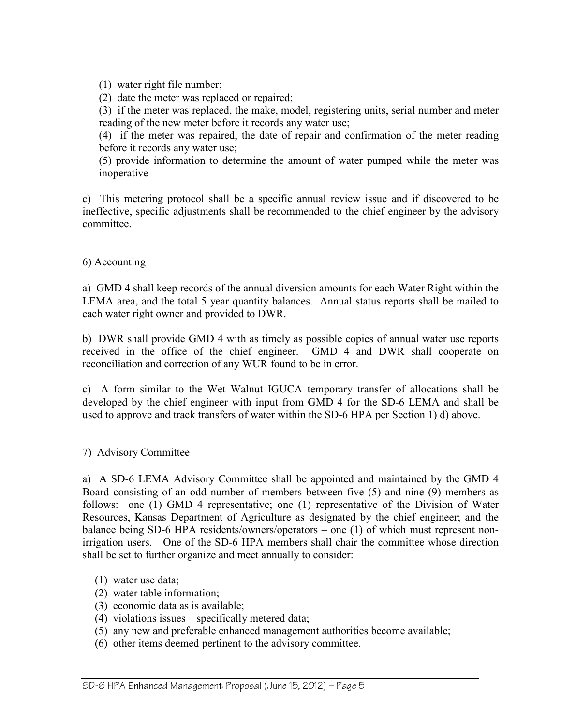(1) water right file number;

(2) date the meter was replaced or repaired;

(3) if the meter was replaced, the make, model, registering units, serial number and meter reading of the new meter before it records any water use;

(4) if the meter was repaired, the date of repair and confirmation of the meter reading before it records any water use;

(5) provide information to determine the amount of water pumped while the meter was inoperative

c) This metering protocol shall be a specific annual review issue and if discovered to be ineffective, specific adjustments shall be recommended to the chief engineer by the advisory committee.

#### 6) Accounting

a) GMD 4 shall keep records of the annual diversion amounts for each Water Right within the LEMA area, and the total 5 year quantity balances. Annual status reports shall be mailed to each water right owner and provided to DWR.

b) DWR shall provide GMD 4 with as timely as possible copies of annual water use reports received in the office of the chief engineer. GMD 4 and DWR shall cooperate on reconciliation and correction of any WUR found to be in error.

c) A form similar to the Wet Walnut IGUCA temporary transfer of allocations shall be developed by the chief engineer with input from GMD 4 for the SD-6 LEMA and shall be used to approve and track transfers of water within the SD-6 HPA per Section 1) d) above.

### 7) Advisory Committee

a) A SD-6 LEMA Advisory Committee shall be appointed and maintained by the GMD 4 Board consisting of an odd number of members between five (5) and nine (9) members as follows: one (1) GMD 4 representative; one (1) representative of the Division of Water Resources, Kansas Department of Agriculture as designated by the chief engineer; and the balance being SD-6 HPA residents/owners/operators – one (1) of which must represent nonirrigation users. One of the SD-6 HPA members shall chair the committee whose direction shall be set to further organize and meet annually to consider:

- (1) water use data;
- (2) water table information;
- (3) economic data as is available;
- (4) violations issues specifically metered data;
- (5) any new and preferable enhanced management authorities become available;
- (6) other items deemed pertinent to the advisory committee.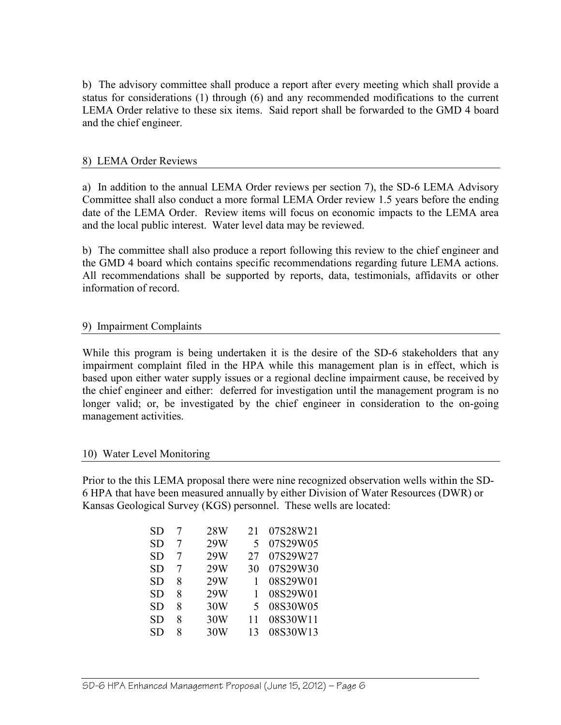b) The advisory committee shall produce a report after every meeting which shall provide a status for considerations (1) through (6) and any recommended modifications to the current LEMA Order relative to these six items. Said report shall be forwarded to the GMD 4 board and the chief engineer.

#### 8) LEMA Order Reviews

a) In addition to the annual LEMA Order reviews per section 7), the SD-6 LEMA Advisory Committee shall also conduct a more formal LEMA Order review 1.5 years before the ending date of the LEMA Order. Review items will focus on economic impacts to the LEMA area and the local public interest. Water level data may be reviewed.

b) The committee shall also produce a report following this review to the chief engineer and the GMD 4 board which contains specific recommendations regarding future LEMA actions. All recommendations shall be supported by reports, data, testimonials, affidavits or other information of record.

#### 9) Impairment Complaints

While this program is being undertaken it is the desire of the SD-6 stakeholders that any impairment complaint filed in the HPA while this management plan is in effect, which is based upon either water supply issues or a regional decline impairment cause, be received by the chief engineer and either: deferred for investigation until the management program is no longer valid; or, be investigated by the chief engineer in consideration to the on-going management activities.

#### 10) Water Level Monitoring

Prior to the this LEMA proposal there were nine recognized observation wells within the SD-6 HPA that have been measured annually by either Division of Water Resources (DWR) or Kansas Geological Survey (KGS) personnel. These wells are located:

| SD | 7 | 28W | 21 | 07S28W21 |
|----|---|-----|----|----------|
| SD | 7 | 29W | 5  | 07S29W05 |
| SD | 7 | 29W | 27 | 07S29W27 |
| SD | 7 | 29W | 30 | 07S29W30 |
| SD | 8 | 29W | 1  | 08S29W01 |
| SD | 8 | 29W | 1  | 08S29W01 |
| SD | 8 | 30W | 5  | 08S30W05 |
| SD | 8 | 30W | 11 | 08S30W11 |
| SD | 8 | 30W | 13 | 08S30W13 |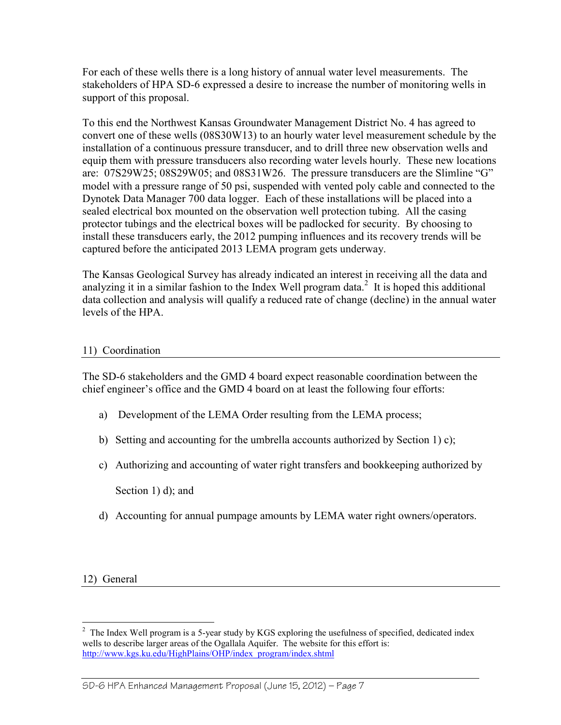For each of these wells there is a long history of annual water level measurements. The stakeholders of HPA SD-6 expressed a desire to increase the number of monitoring wells in support of this proposal.

To this end the Northwest Kansas Groundwater Management District No. 4 has agreed to convert one of these wells (08S30W13) to an hourly water level measurement schedule by the installation of a continuous pressure transducer, and to drill three new observation wells and equip them with pressure transducers also recording water levels hourly. These new locations are: 07S29W25; 08S29W05; and 08S31W26. The pressure transducers are the Slimline "G" model with a pressure range of 50 psi, suspended with vented poly cable and connected to the Dynotek Data Manager 700 data logger. Each of these installations will be placed into a sealed electrical box mounted on the observation well protection tubing. All the casing protector tubings and the electrical boxes will be padlocked for security. By choosing to install these transducers early, the 2012 pumping influences and its recovery trends will be captured before the anticipated 2013 LEMA program gets underway.

The Kansas Geological Survey has already indicated an interest in receiving all the data and analyzing it in a similar fashion to the Index Well program data.<sup>2</sup> It is hoped this additional data collection and analysis will qualify a reduced rate of change (decline) in the annual water levels of the HPA.

# 11) Coordination

The SD-6 stakeholders and the GMD 4 board expect reasonable coordination between the chief engineer's office and the GMD 4 board on at least the following four efforts:

- a) Development of the LEMA Order resulting from the LEMA process;
- b) Setting and accounting for the umbrella accounts authorized by Section 1) c);
- c) Authorizing and accounting of water right transfers and bookkeeping authorized by

Section 1) d); and

d) Accounting for annual pumpage amounts by LEMA water right owners/operators.

12) General

#### SD-6 HPA Enhanced Management Proposal (June 15, 2012) — Page 7

<sup>&</sup>lt;sup>2</sup> The Index Well program is a 5-year study by KGS exploring the usefulness of specified, dedicated index wells to describe larger areas of the Ogallala Aquifer. The website for this effort is: http://www.kgs.ku.edu/HighPlains/OHP/index\_program/index.shtml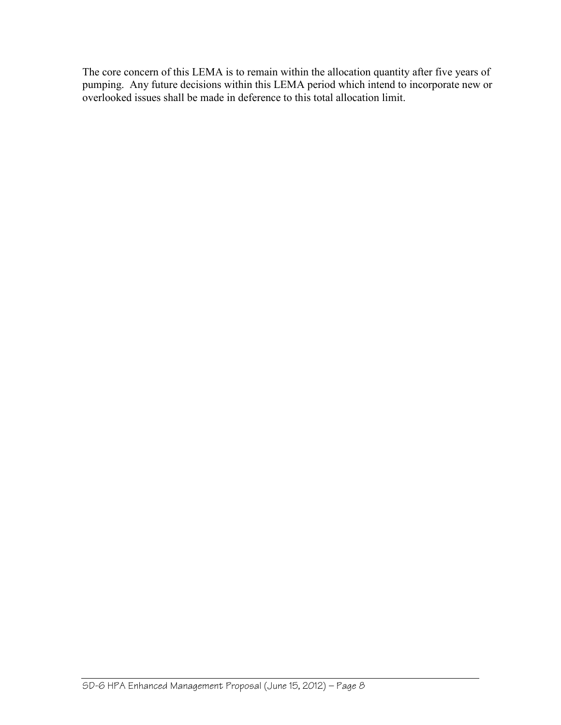The core concern of this LEMA is to remain within the allocation quantity after five years of pumping. Any future decisions within this LEMA period which intend to incorporate new or overlooked issues shall be made in deference to this total allocation limit.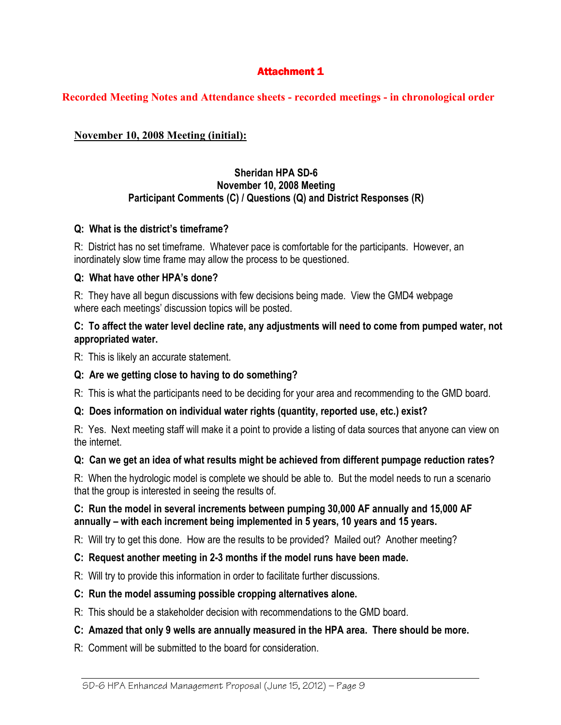## **Attachment 1**

### **Recorded Meeting Notes and Attendance sheets - recorded meetings - in chronological order**

# **November 10, 2008 Meeting (initial):**

### **Sheridan HPA SD-6 November 10, 2008 Meeting Participant Comments (C) / Questions (Q) and District Responses (R)**

#### **Q: What is the district's timeframe?**

R: District has no set timeframe. Whatever pace is comfortable for the participants. However, an inordinately slow time frame may allow the process to be questioned.

#### **Q: What have other HPA's done?**

R: They have all begun discussions with few decisions being made. View the GMD4 webpage where each meetings' discussion topics will be posted.

#### **C: To affect the water level decline rate, any adjustments will need to come from pumped water, not appropriated water.**

R: This is likely an accurate statement.

### **Q: Are we getting close to having to do something?**

R: This is what the participants need to be deciding for your area and recommending to the GMD board.

### **Q: Does information on individual water rights (quantity, reported use, etc.) exist?**

R: Yes. Next meeting staff will make it a point to provide a listing of data sources that anyone can view on the internet.

### **Q: Can we get an idea of what results might be achieved from different pumpage reduction rates?**

R: When the hydrologic model is complete we should be able to. But the model needs to run a scenario that the group is interested in seeing the results of.

#### **C: Run the model in several increments between pumping 30,000 AF annually and 15,000 AF annually – with each increment being implemented in 5 years, 10 years and 15 years.**

R: Will try to get this done. How are the results to be provided? Mailed out? Another meeting?

### **C: Request another meeting in 2-3 months if the model runs have been made.**

R: Will try to provide this information in order to facilitate further discussions.

#### **C: Run the model assuming possible cropping alternatives alone.**

R: This should be a stakeholder decision with recommendations to the GMD board.

### **C: Amazed that only 9 wells are annually measured in the HPA area. There should be more.**

R: Comment will be submitted to the board for consideration.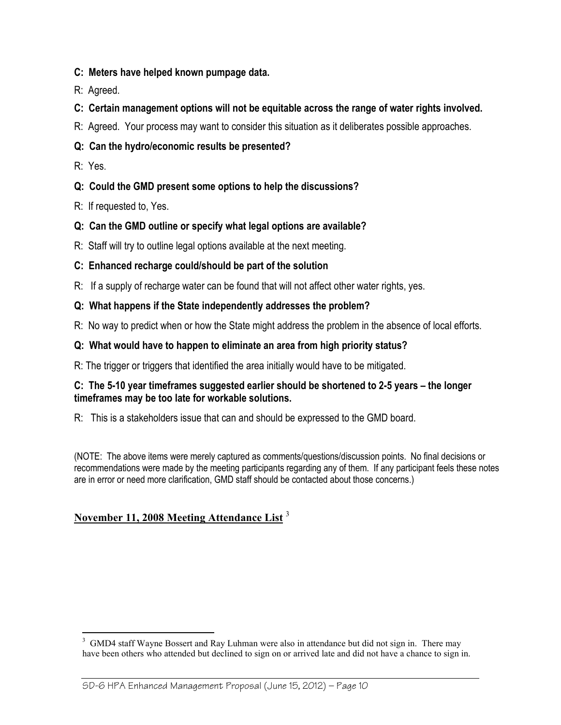- **C: Meters have helped known pumpage data.**
- R: Agreed.
- **C: Certain management options will not be equitable across the range of water rights involved.**
- R: Agreed. Your process may want to consider this situation as it deliberates possible approaches.
- **Q: Can the hydro/economic results be presented?**
- R: Yes.
- **Q: Could the GMD present some options to help the discussions?**
- R: If requested to, Yes.
- **Q: Can the GMD outline or specify what legal options are available?**
- R: Staff will try to outline legal options available at the next meeting.
- **C: Enhanced recharge could/should be part of the solution**
- R: If a supply of recharge water can be found that will not affect other water rights, yes.
- **Q: What happens if the State independently addresses the problem?**
- R: No way to predict when or how the State might address the problem in the absence of local efforts.
- **Q: What would have to happen to eliminate an area from high priority status?**
- R: The trigger or triggers that identified the area initially would have to be mitigated.

### **C: The 5-10 year timeframes suggested earlier should be shortened to 2-5 years – the longer timeframes may be too late for workable solutions.**

R: This is a stakeholders issue that can and should be expressed to the GMD board.

(NOTE: The above items were merely captured as comments/questions/discussion points. No final decisions or recommendations were made by the meeting participants regarding any of them. If any participant feels these notes are in error or need more clarification, GMD staff should be contacted about those concerns.)

# **November 11, 2008 Meeting Attendance List** <sup>3</sup>

<sup>&</sup>lt;sup>3</sup> GMD4 staff Wayne Bossert and Ray Luhman were also in attendance but did not sign in. There may have been others who attended but declined to sign on or arrived late and did not have a chance to sign in.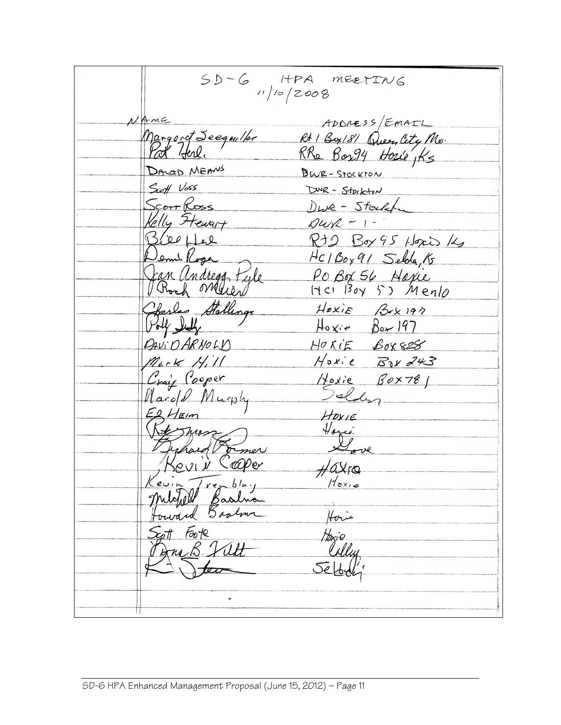$SD-C$  HPA MEETING ADDRESS/EMAIL Ame ADDRESS/EMAIL<br>Margaret Seegm/for Rt 1 Box/8/ Queen City Mo.<br>Port York. RRa Box94 House Ks DAVID MEANS BWR-STOCKTON Seeff Voss DWR - Stockton <u>Scorr Ross</u> Dwe-Stockf Kelly Ftewart  $\n *Qucl*  $-1$$ Bierfee Rt2 Box 95 Hoxis 14 Jemi Roge<br>Jan Andregg Fyle HC1Box91 Selda, 15 PO Box 56 Novie<br>HCI Boy 53 Mento Harles Stallings HOXIE BOX197  $Hoxie Box197$ HORIE BOX828 DAVIO ARNOLY  $M_{b}$  ok  $N_{i}$ ill Hoxie Bax 243 Craig Cooper<br>Marold Murphy Hoxie Box781 HOXIE Vous Johard Former  $H$ OXro evin Trenblay<br>Motold Baalna Haie Est Foote<br>Bruck Vilt Horio<br>Ully デレ ę,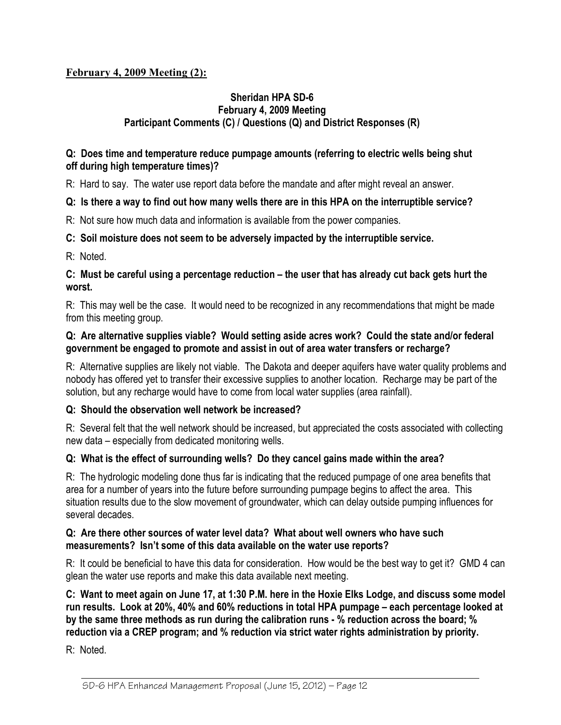# **February 4, 2009 Meeting (2):**

# **Sheridan HPA SD-6 February 4, 2009 Meeting Participant Comments (C) / Questions (Q) and District Responses (R)**

#### **Q: Does time and temperature reduce pumpage amounts (referring to electric wells being shut off during high temperature times)?**

R: Hard to say. The water use report data before the mandate and after might reveal an answer.

### **Q: Is there a way to find out how many wells there are in this HPA on the interruptible service?**

R: Not sure how much data and information is available from the power companies.

# **C: Soil moisture does not seem to be adversely impacted by the interruptible service.**

R: Noted.

## **C: Must be careful using a percentage reduction – the user that has already cut back gets hurt the worst.**

R: This may well be the case. It would need to be recognized in any recommendations that might be made from this meeting group.

## **Q: Are alternative supplies viable? Would setting aside acres work? Could the state and/or federal government be engaged to promote and assist in out of area water transfers or recharge?**

R: Alternative supplies are likely not viable. The Dakota and deeper aquifers have water quality problems and nobody has offered yet to transfer their excessive supplies to another location. Recharge may be part of the solution, but any recharge would have to come from local water supplies (area rainfall).

# **Q: Should the observation well network be increased?**

R: Several felt that the well network should be increased, but appreciated the costs associated with collecting new data – especially from dedicated monitoring wells.

# **Q: What is the effect of surrounding wells? Do they cancel gains made within the area?**

R: The hydrologic modeling done thus far is indicating that the reduced pumpage of one area benefits that area for a number of years into the future before surrounding pumpage begins to affect the area. This situation results due to the slow movement of groundwater, which can delay outside pumping influences for several decades.

### **Q: Are there other sources of water level data? What about well owners who have such measurements? Isn't some of this data available on the water use reports?**

R: It could be beneficial to have this data for consideration. How would be the best way to get it? GMD 4 can glean the water use reports and make this data available next meeting.

**C: Want to meet again on June 17, at 1:30 P.M. here in the Hoxie Elks Lodge, and discuss some model run results. Look at 20%, 40% and 60% reductions in total HPA pumpage – each percentage looked at by the same three methods as run during the calibration runs - % reduction across the board; % reduction via a CREP program; and % reduction via strict water rights administration by priority.** 

R: Noted.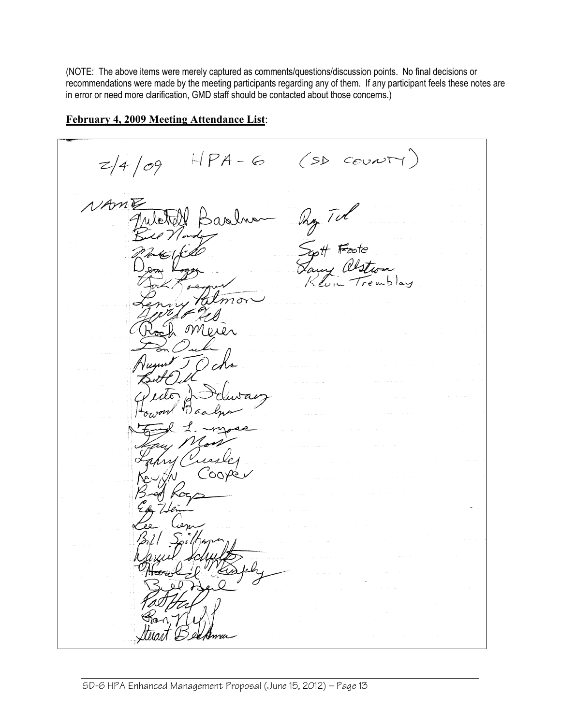(NOTE: The above items were merely captured as comments/questions/discussion points. No final decisions or recommendations were made by the meeting participants regarding any of them. If any participant feels these notes are in error or need more clarification, GMD staff should be contacted about those concerns.)

 $HPA-G(SDCovNT)$  $z/4/09$ NAME Ry Tul<br>Syst Foote<br>Lawy alstron<br>Kluin Tremble Baobh  $m\sigma$  $\mathcal{OM}$ 

# **February 4, 2009 Meeting Attendance List**: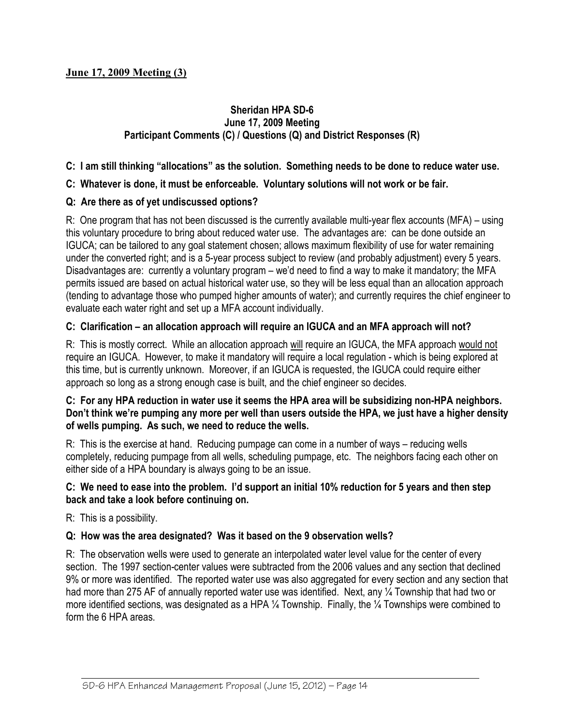# **Sheridan HPA SD-6 June 17, 2009 Meeting Participant Comments (C) / Questions (Q) and District Responses (R)**

# **C: I am still thinking "allocations" as the solution. Something needs to be done to reduce water use.**

# **C: Whatever is done, it must be enforceable. Voluntary solutions will not work or be fair.**

# **Q: Are there as of yet undiscussed options?**

R: One program that has not been discussed is the currently available multi-year flex accounts (MFA) – using this voluntary procedure to bring about reduced water use. The advantages are: can be done outside an IGUCA; can be tailored to any goal statement chosen; allows maximum flexibility of use for water remaining under the converted right; and is a 5-year process subject to review (and probably adjustment) every 5 years. Disadvantages are: currently a voluntary program – we'd need to find a way to make it mandatory; the MFA permits issued are based on actual historical water use, so they will be less equal than an allocation approach (tending to advantage those who pumped higher amounts of water); and currently requires the chief engineer to evaluate each water right and set up a MFA account individually.

# **C: Clarification – an allocation approach will require an IGUCA and an MFA approach will not?**

R: This is mostly correct. While an allocation approach will require an IGUCA, the MFA approach would not require an IGUCA. However, to make it mandatory will require a local regulation - which is being explored at this time, but is currently unknown. Moreover, if an IGUCA is requested, the IGUCA could require either approach so long as a strong enough case is built, and the chief engineer so decides.

### **C: For any HPA reduction in water use it seems the HPA area will be subsidizing non-HPA neighbors. Don't think we're pumping any more per well than users outside the HPA, we just have a higher density of wells pumping. As such, we need to reduce the wells.**

R: This is the exercise at hand. Reducing pumpage can come in a number of ways – reducing wells completely, reducing pumpage from all wells, scheduling pumpage, etc. The neighbors facing each other on either side of a HPA boundary is always going to be an issue.

### **C: We need to ease into the problem. I'd support an initial 10% reduction for 5 years and then step back and take a look before continuing on.**

R: This is a possibility.

### **Q: How was the area designated? Was it based on the 9 observation wells?**

R: The observation wells were used to generate an interpolated water level value for the center of every section. The 1997 section-center values were subtracted from the 2006 values and any section that declined 9% or more was identified. The reported water use was also aggregated for every section and any section that had more than 275 AF of annually reported water use was identified. Next, any 1/4 Township that had two or more identified sections, was designated as a HPA ¼ Township. Finally, the ¼ Townships were combined to form the 6 HPA areas.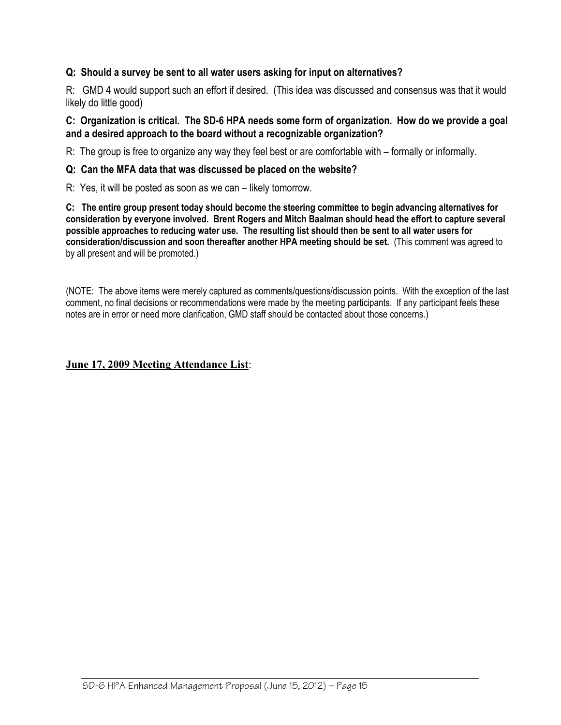# **Q: Should a survey be sent to all water users asking for input on alternatives?**

R: GMD 4 would support such an effort if desired. (This idea was discussed and consensus was that it would likely do little good)

#### **C: Organization is critical. The SD-6 HPA needs some form of organization. How do we provide a goal and a desired approach to the board without a recognizable organization?**

R: The group is free to organize any way they feel best or are comfortable with – formally or informally.

#### **Q: Can the MFA data that was discussed be placed on the website?**

R: Yes, it will be posted as soon as we can – likely tomorrow.

**C: The entire group present today should become the steering committee to begin advancing alternatives for consideration by everyone involved. Brent Rogers and Mitch Baalman should head the effort to capture several possible approaches to reducing water use. The resulting list should then be sent to all water users for consideration/discussion and soon thereafter another HPA meeting should be set.** (This comment was agreed to by all present and will be promoted.)

(NOTE: The above items were merely captured as comments/questions/discussion points. With the exception of the last comment, no final decisions or recommendations were made by the meeting participants. If any participant feels these notes are in error or need more clarification, GMD staff should be contacted about those concerns.)

#### **June 17, 2009 Meeting Attendance List**: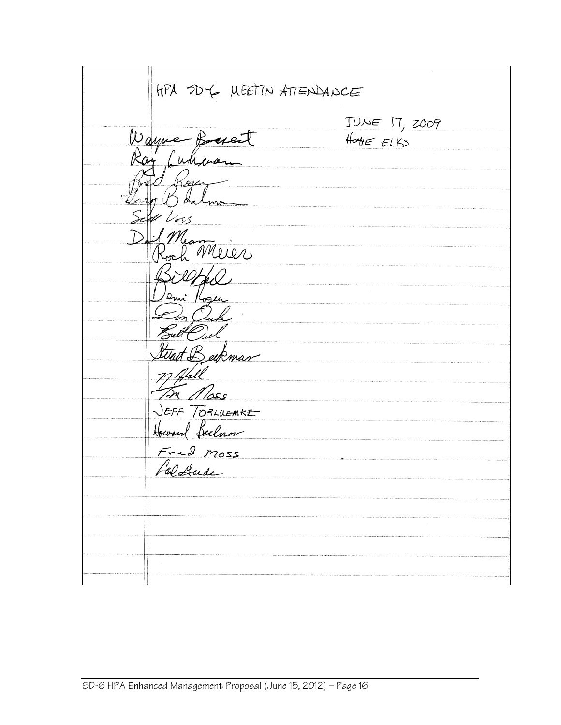| HPA SDY MEETIN ATTENDANCE             |                                               |  |  |
|---------------------------------------|-----------------------------------------------|--|--|
| Wayne Baset                           | $TUNE$ $17, z009$<br>$H_{\text{OHE}}$ $E(KS)$ |  |  |
| Ray Culleran<br>Koge                  |                                               |  |  |
| Jaro Balma<br>Sept Voss<br>Dail Mean  |                                               |  |  |
| Roch Merer<br>Billfal                 |                                               |  |  |
| emi Kozen<br>$\mathcal{C}_{on}$ Out   |                                               |  |  |
| Butt Pul<br>twait Beykman             |                                               |  |  |
| 7) Apill<br>In Moss<br>JEFF TORLUEMKE |                                               |  |  |
| Howard Soclaror<br>$F - 2$ moss       |                                               |  |  |
| faldade                               |                                               |  |  |
|                                       |                                               |  |  |
|                                       |                                               |  |  |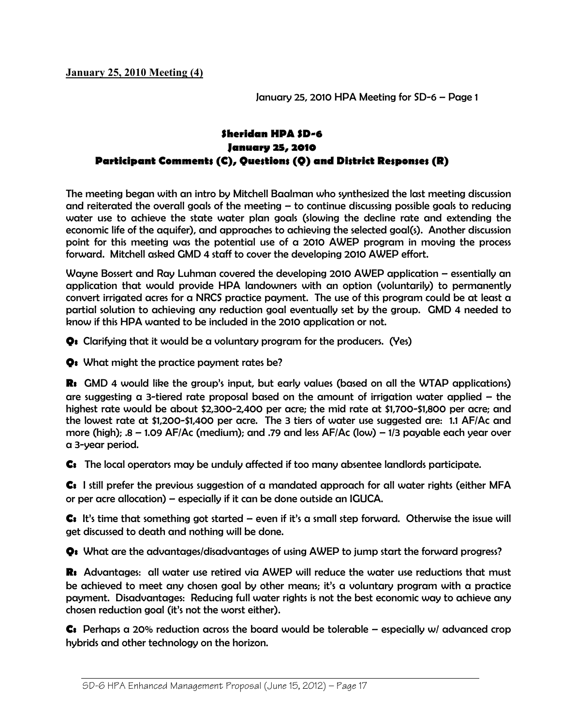**January 25, 2010 Meeting (4)** 

*January 25, 2010 HPA Meeting for SD-6 – Page 1* 

# *Sheridan HPA SD-6 January 25, 2010 Participant Comments (C), Questions (Q) and District Responses (R)*

*The meeting began with an intro by Mitchell Baalman who synthesized the last meeting discussion and reiterated the overall goals of the meeting – to continue discussing possible goals to reducing water use to achieve the state water plan goals (slowing the decline rate and extending the economic life of the aquifer), and approaches to achieving the selected goal(s). Another discussion point for this meeting was the potential use of a 2010 AWEP program in moving the process forward. Mitchell asked GMD 4 staff to cover the developing 2010 AWEP effort.* 

*Wayne Bossert and Ray Luhman covered the developing 2010 AWEP application – essentially an application that would provide HPA landowners with an option (voluntarily) to permanently convert irrigated acres for a NRCS practice payment. The use of this program could be at least a partial solution to achieving any reduction goal eventually set by the group. GMD 4 needed to know if this HPA wanted to be included in the 2010 application or not.* 

*Q: Clarifying that it would be a voluntary program for the producers. (Yes)* 

*Q: What might the practice payment rates be?* 

*R: GMD 4 would like the group's input, but early values (based on all the WTAP applications) are suggesting a 3-tiered rate proposal based on the amount of irrigation water applied – the highest rate would be about \$2,300-2,400 per acre; the mid rate at \$1,700-\$1,800 per acre; and the lowest rate at \$1,200-\$1,400 per acre. The 3 tiers of water use suggested are: 1.1 AF/Ac and more (high); .8 – 1.09 AF/Ac (medium); and .79 and less AF/Ac (low) – 1/3 payable each year over a 3-year period.* 

*C: The local operators may be unduly affected if too many absentee landlords participate.* 

*C: I still prefer the previous suggestion of a mandated approach for all water rights (either MFA or per acre allocation) – especially if it can be done outside an IGUCA.* 

*C: It's time that something got started – even if it's a small step forward. Otherwise the issue will get discussed to death and nothing will be done.* 

*Q: What are the advantages/disadvantages of using AWEP to jump start the forward progress?* 

*R: Advantages: all water use retired via AWEP will reduce the water use reductions that must be achieved to meet any chosen goal by other means; it's a voluntary program with a practice payment. Disadvantages: Reducing full water rights is not the best economic way to achieve any chosen reduction goal (it's not the worst either).* 

*C: Perhaps a 20% reduction across the board would be tolerable – especially w/ advanced crop hybrids and other technology on the horizon.*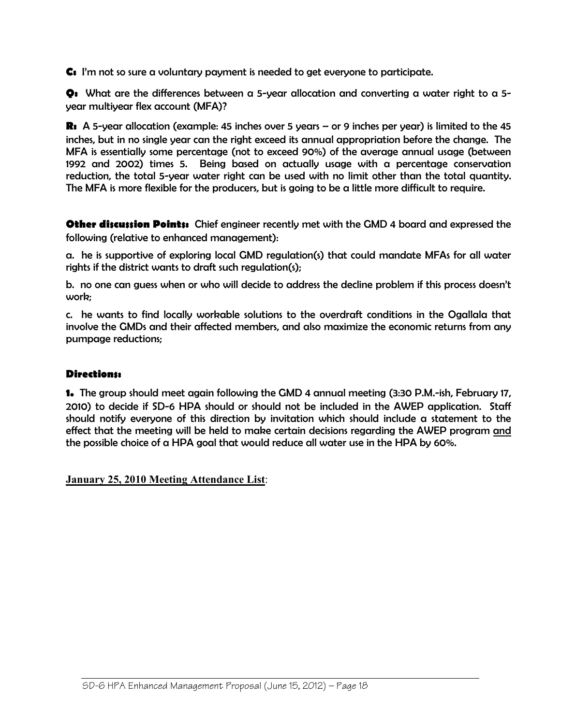*C: I'm not so sure a voluntary payment is needed to get everyone to participate.* 

*Q: What are the differences between a 5-year allocation and converting a water right to a 5 year multiyear flex account (MFA)?* 

*R: A 5-year allocation (example: 45 inches over 5 years – or 9 inches per year) is limited to the 45 inches, but in no single year can the right exceed its annual appropriation before the change. The MFA is essentially some percentage (not to exceed 90%) of the average annual usage (between 1992 and 2002) times 5. Being based on actually usage with a percentage conservation reduction, the total 5-year water right can be used with no limit other than the total quantity. The MFA is more flexible for the producers, but is going to be a little more difficult to require.* 

*Other discussion Points: Chief engineer recently met with the GMD 4 board and expressed the following (relative to enhanced management):* 

*a. he is supportive of exploring local GMD regulation(s) that could mandate MFAs for all water rights if the district wants to draft such regulation(s);* 

*b. no one can guess when or who will decide to address the decline problem if this process doesn't work;* 

*c. he wants to find locally workable solutions to the overdraft conditions in the Ogallala that involve the GMDs and their affected members, and also maximize the economic returns from any pumpage reductions;* 

# *Directions:*

*1. The group should meet again following the GMD 4 annual meeting (3:30 P.M.-ish, February 17, 2010) to decide if SD-6 HPA should or should not be included in the AWEP application. Staff should notify everyone of this direction by invitation which should include a statement to the effect that the meeting will be held to make certain decisions regarding the AWEP program and the possible choice of a HPA goal that would reduce all water use in the HPA by 60%.* 

**January 25, 2010 Meeting Attendance List**: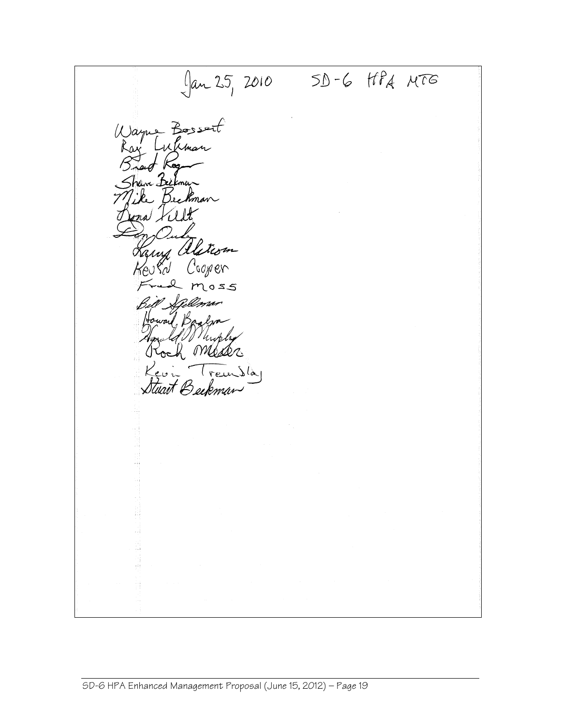$\int \tan 25$ , 2010 SD-6 HPA MTG Bossert  $\mu)$ ayne Whma  $\frac{1}{k^{2}}$ ve B<u>e</u> Bee a Kil Kany alstrom Cooper os Kd 2 moss Pellmar Howard, Bag Facto Migly Beckman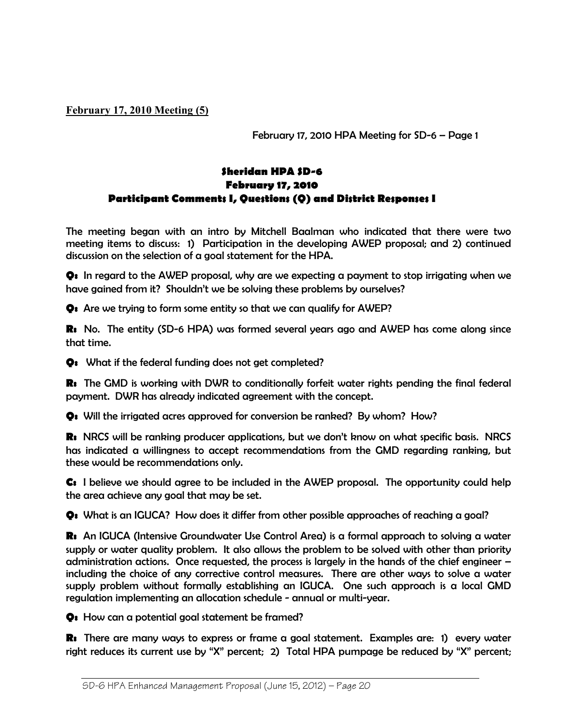**February 17, 2010 Meeting (5)** 

*February 17, 2010 HPA Meeting for SD-6 – Page 1* 

# *Sheridan HPA SD-6 February 17, 2010 Participant Comments I, Questions (Q) and District Responses I*

*The meeting began with an intro by Mitchell Baalman who indicated that there were two meeting items to discuss: 1) Participation in the developing AWEP proposal; and 2) continued discussion on the selection of a goal statement for the HPA.* 

*Q: In regard to the AWEP proposal, why are we expecting a payment to stop irrigating when we have gained from it? Shouldn't we be solving these problems by ourselves?* 

*Q: Are we trying to form some entity so that we can qualify for AWEP?* 

*R: No. The entity (SD-6 HPA) was formed several years ago and AWEP has come along since that time.* 

*Q: What if the federal funding does not get completed?* 

*R: The GMD is working with DWR to conditionally forfeit water rights pending the final federal payment. DWR has already indicated agreement with the concept.* 

*Q: Will the irrigated acres approved for conversion be ranked? By whom? How?* 

*R: NRCS will be ranking producer applications, but we don't know on what specific basis. NRCS*  has indicated a willingness to accept recommendations from the GMD regarding ranking, but *these would be recommendations only.* 

*C: I believe we should agree to be included in the AWEP proposal. The opportunity could help the area achieve any goal that may be set.* 

*Q: What is an IGUCA? How does it differ from other possible approaches of reaching a goal?* 

*R: An IGUCA (Intensive Groundwater Use Control Area) is a formal approach to solving a water supply or water quality problem. It also allows the problem to be solved with other than priority administration actions. Once requested, the process is largely in the hands of the chief engineer – including the choice of any corrective control measures. There are other ways to solve a water supply problem without formally establishing an IGUCA. One such approach is a local GMD regulation implementing an allocation schedule - annual or multi-year.* 

*Q: How can a potential goal statement be framed?* 

*R: There are many ways to express or frame a goal statement. Examples are: 1) every water right reduces its current use by "X" percent; 2) Total HPA pumpage be reduced by "X" percent;*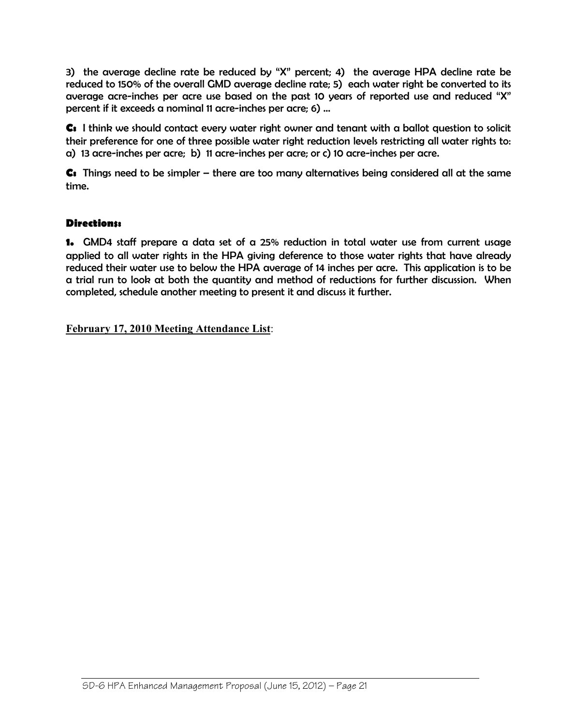*3) the average decline rate be reduced by "X" percent; 4) the average HPA decline rate be reduced to 150% of the overall GMD average decline rate; 5) each water right be converted to its average acre-inches per acre use based on the past 10 years of reported use and reduced "X" percent if it exceeds a nominal 11 acre-inches per acre; 6) …* 

*C: I think we should contact every water right owner and tenant with a ballot question to solicit their preference for one of three possible water right reduction levels restricting all water rights to: a) 13 acre-inches per acre; b) 11 acre-inches per acre; or c) 10 acre-inches per acre.* 

*C: Things need to be simpler – there are too many alternatives being considered all at the same time.* 

# *Directions:*

*1. GMD4 staff prepare a data set of a 25% reduction in total water use from current usage applied to all water rights in the HPA giving deference to those water rights that have already reduced their water use to below the HPA average of 14 inches per acre. This application is to be a trial run to look at both the quantity and method of reductions for further discussion. When completed, schedule another meeting to present it and discuss it further.* 

**February 17, 2010 Meeting Attendance List**: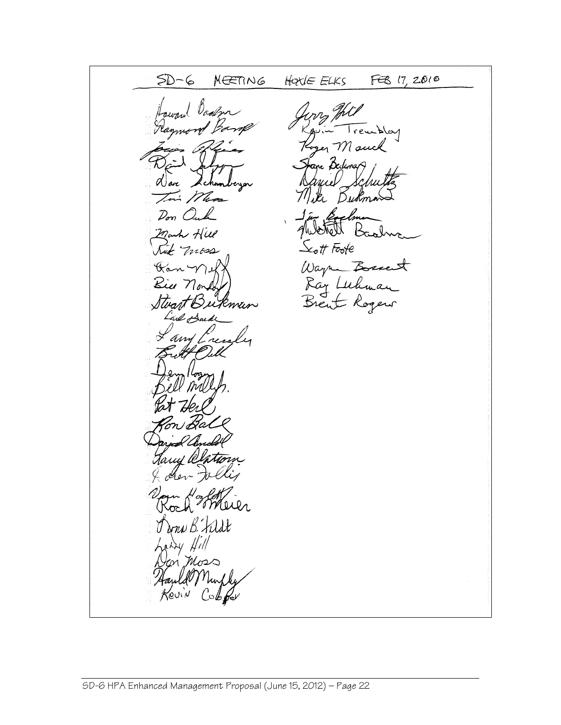FEB 17, 2010  $5D-6$ NEETING HOULE ELKS Alcay Mouch e Dedem Buk,  $\mathcal{D}_{\sigma\tau\tau}$  ( Mark A  $\mathcal{L}_{\mathcal{O}}$ tt Foote mes Wayne Bosses<br>Ray Luhman<br>Brent Rogers 'Ra Kin Stuart Bukman h'<br>''Um and <u>t</u> dona B. Fildt 71 i Mos  $Cob$  for Revin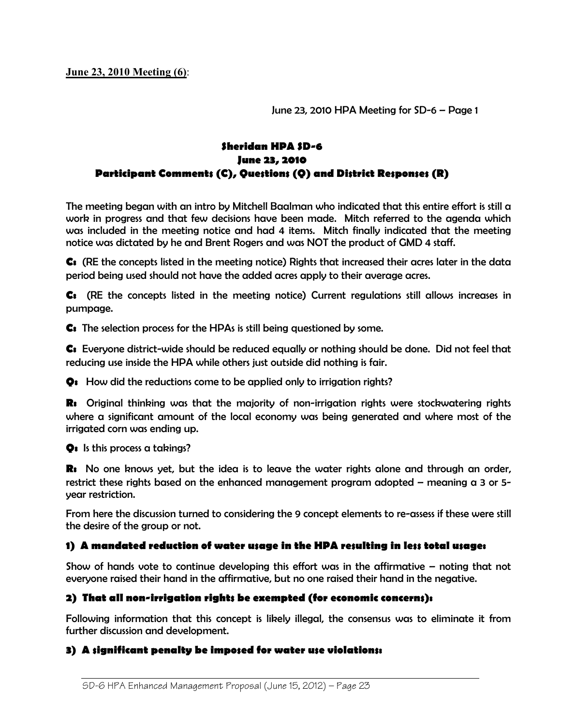**June 23, 2010 Meeting (6)**:

*June 23, 2010 HPA Meeting for SD-6 – Page 1* 

# *Sheridan HPA SD-6 June 23, 2010 Participant Comments (C), Questions (Q) and District Responses (R)*

*The meeting began with an intro by Mitchell Baalman who indicated that this entire effort is still a work in progress and that few decisions have been made. Mitch referred to the agenda which*  was included in the meeting notice and had 4 items. Mitch finally indicated that the meeting *notice was dictated by he and Brent Rogers and was NOT the product of GMD 4 staff.* 

*C: (RE the concepts listed in the meeting notice) Rights that increased their acres later in the data period being used should not have the added acres apply to their average acres.* 

*C: (RE the concepts listed in the meeting notice) Current regulations still allows increases in pumpage.* 

*C: The selection process for the HPAs is still being questioned by some.* 

*C: Everyone district-wide should be reduced equally or nothing should be done. Did not feel that reducing use inside the HPA while others just outside did nothing is fair.* 

*Q: How did the reductions come to be applied only to irrigation rights?* 

*R: Original thinking was that the majority of non-irrigation rights were stockwatering rights where a significant amount of the local economy was being generated and where most of the irrigated corn was ending up.* 

*Q: Is this process a takings?* 

*R: No one knows yet, but the idea is to leave the water rights alone and through an order, restrict these rights based on the enhanced management program adopted – meaning a 3 or 5 year restriction.* 

*From here the discussion turned to considering the 9 concept elements to re-assess if these were still the desire of the group or not.* 

#### *1) A mandated reduction of water usage in the HPA resulting in less total usage:*

*Show of hands vote to continue developing this effort was in the affirmative – noting that not everyone raised their hand in the affirmative, but no one raised their hand in the negative.* 

### *2) That all non-irrigation rights be exempted (for economic concerns):*

*Following information that this concept is likely illegal, the consensus was to eliminate it from further discussion and development.* 

#### *3) A significant penalty be imposed for water use violations:*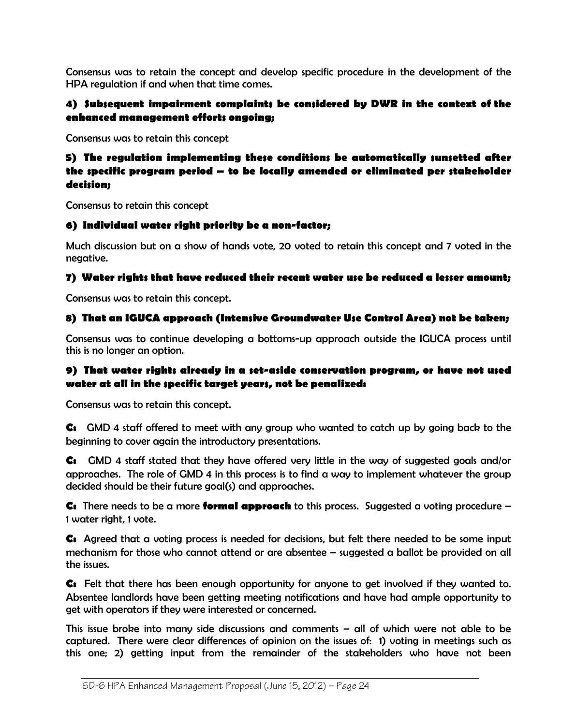*Consensus was to retain the concept and develop specific procedure in the development of the HPA regulation if and when that time comes.* 

# *4) Subsequent impairment complaints be considered by DWR in the context of the enhanced management efforts ongoing;*

*Consensus was to retain this concept* 

# *5) The regulation implementing these conditions be automatically sunsetted after the specific program period – to be locally amended or eliminated per stakeholder decision;*

*Consensus to retain this concept* 

# *6) Individual water right priority be a non-factor;*

*Much discussion but on a show of hands vote, 20 voted to retain this concept and 7 voted in the negative.* 

### *7) Water rights that have reduced their recent water use be reduced a lesser amount;*

*Consensus was to retain this concept.* 

# *8) That an IGUCA approach (Intensive Groundwater Use Control Area) not be taken;*

*Consensus was to continue developing a bottoms-up approach outside the IGUCA process until this is no longer an option.* 

# *9) That water rights already in a set-aside conservation program, or have not used water at all in the specific target years, not be penalized:*

*Consensus was to retain this concept.* 

*C: GMD 4 staff offered to meet with any group who wanted to catch up by going back to the beginning to cover again the introductory presentations.* 

*C: GMD 4 staff stated that they have offered very little in the way of suggested goals and/or approaches. The role of GMD 4 in this process is to find a way to implement whatever the group decided should be their future goal(s) and approaches.* 

*C: There needs to be a more formal approach to this process. Suggested a voting procedure – 1 water right, 1 vote.* 

*C: Agreed that a voting process is needed for decisions, but felt there needed to be some input mechanism for those who cannot attend or are absentee – suggested a ballot be provided on all the issues.* 

*C: Felt that there has been enough opportunity for anyone to get involved if they wanted to. Absentee landlords have been getting meeting notifications and have had ample opportunity to get with operators if they were interested or concerned.* 

*This issue broke into many side discussions and comments – all of which were not able to be captured. There were clear differences of opinion on the issues of: 1) voting in meetings such as this one; 2) getting input from the remainder of the stakeholders who have not been*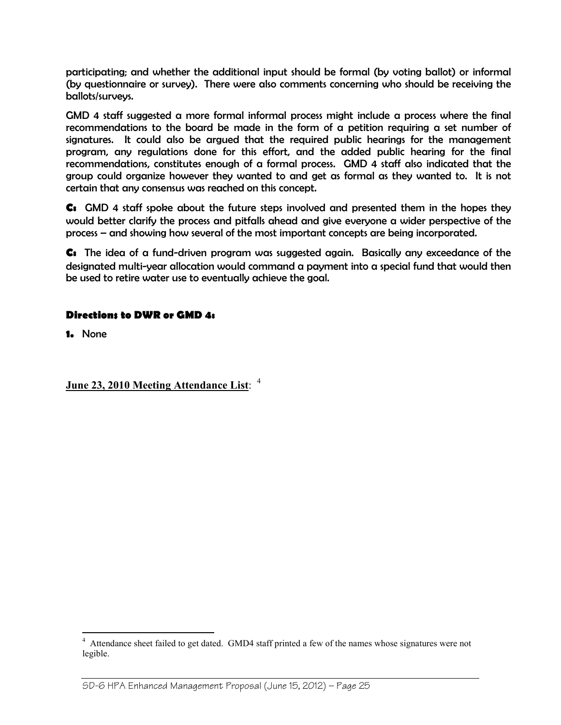participating; and whether the additional input should be formal (by voting ballot) or informal *(by questionnaire or survey). There were also comments concerning who should be receiving the ballots/surveys.* 

GMD 4 staff suggested a more formal informal process might include a process where the final *recommendations to the board be made in the form of a petition requiring a set number of signatures. It could also be argued that the required public hearings for the management program, any regulations done for this effort, and the added public hearing for the final recommendations, constitutes enough of a formal process. GMD 4 staff also indicated that the*  group could organize however they wanted to and get as formal as they wanted to. It is not *certain that any consensus was reached on this concept.* 

*C: GMD 4 staff spoke about the future steps involved and presented them in the hopes they would better clarify the process and pitfalls ahead and give everyone a wider perspective of the process – and showing how several of the most important concepts are being incorporated.* 

*C: The idea of a fund-driven program was suggested again. Basically any exceedance of the designated multi-year allocation would command a payment into a special fund that would then be used to retire water use to eventually achieve the goal.* 

### *Directions to DWR or GMD 4:*

*1. None* 

# **June 23, 2010 Meeting Attendance List**: <sup>4</sup>

<sup>&</sup>lt;sup>4</sup> Attendance sheet failed to get dated. GMD4 staff printed a few of the names whose signatures were not legible.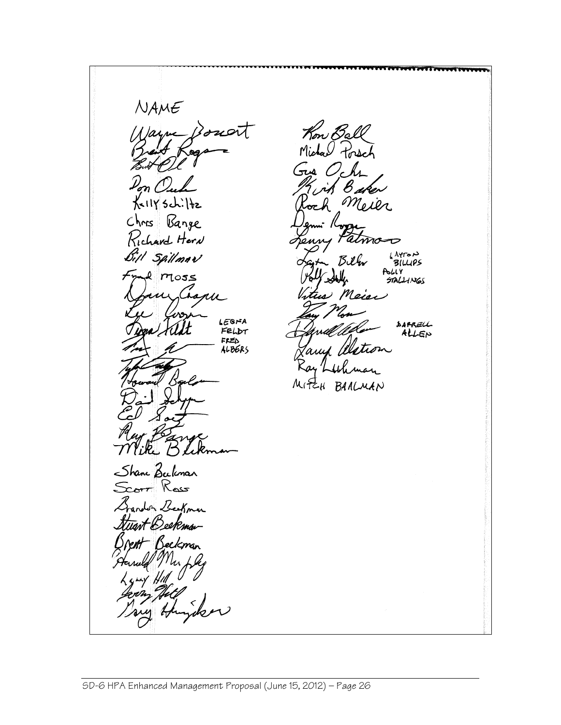$NAME$ Kon Ball Jarne 'd Michael Porsch  $O_{c}h$ لمتر Mol KellY Schi ์<br>ซr Chris Bange Richard Horn Bill Spillman AYTON<br>BILLIPS Biller bhly e moss  $\mathcal{F}_{\gamma}$ **STALIHNGS** Meier isp LEGNA DAPRELL FELDT ALLEN  $FELD$ ALBERS  $M_1E_4$ BAALMAN Shane Beckman Scorr Ross on Beekman eeKma~ elkman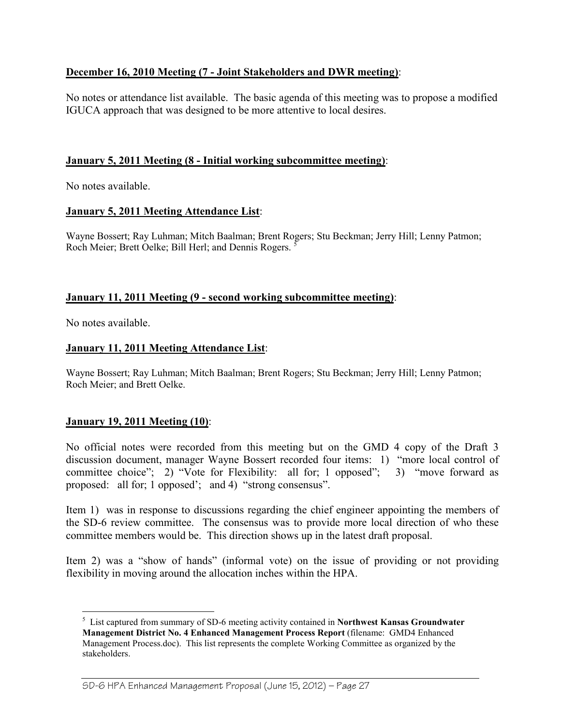# **December 16, 2010 Meeting (7 - Joint Stakeholders and DWR meeting)**:

No notes or attendance list available. The basic agenda of this meeting was to propose a modified IGUCA approach that was designed to be more attentive to local desires.

### **January 5, 2011 Meeting (8 - Initial working subcommittee meeting)**:

No notes available.

# **January 5, 2011 Meeting Attendance List**:

Wayne Bossert; Ray Luhman; Mitch Baalman; Brent Rogers; Stu Beckman; Jerry Hill; Lenny Patmon; Roch Meier; Brett Oelke; Bill Herl; and Dennis Rogers. <sup>5</sup>

# **January 11, 2011 Meeting (9 - second working subcommittee meeting)**:

No notes available.

 $\overline{a}$ 

# **January 11, 2011 Meeting Attendance List**:

Wayne Bossert; Ray Luhman; Mitch Baalman; Brent Rogers; Stu Beckman; Jerry Hill; Lenny Patmon; Roch Meier; and Brett Oelke.

### **January 19, 2011 Meeting (10)**:

No official notes were recorded from this meeting but on the GMD 4 copy of the Draft 3 discussion document, manager Wayne Bossert recorded four items: 1) "more local control of committee choice"; 2) "Vote for Flexibility: all for; 1 opposed"; 3) "move forward as proposed: all for; 1 opposed'; and 4) "strong consensus".

Item 1) was in response to discussions regarding the chief engineer appointing the members of the SD-6 review committee. The consensus was to provide more local direction of who these committee members would be. This direction shows up in the latest draft proposal.

Item 2) was a "show of hands" (informal vote) on the issue of providing or not providing flexibility in moving around the allocation inches within the HPA.

<sup>5</sup> List captured from summary of SD-6 meeting activity contained in **Northwest Kansas Groundwater Management District No. 4 Enhanced Management Process Report** (filename: GMD4 Enhanced Management Process.doc). This list represents the complete Working Committee as organized by the stakeholders.

SD-6 HPA Enhanced Management Proposal (June 15, 2012) — Page 27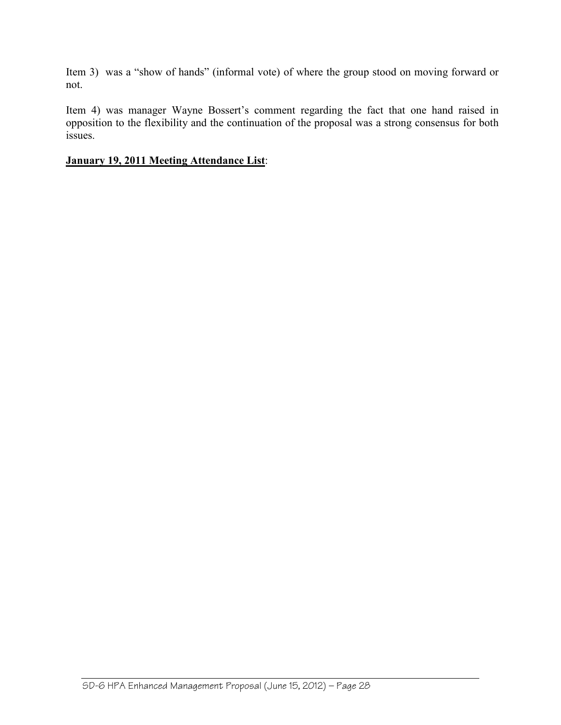Item 3) was a "show of hands" (informal vote) of where the group stood on moving forward or not.

Item 4) was manager Wayne Bossert's comment regarding the fact that one hand raised in opposition to the flexibility and the continuation of the proposal was a strong consensus for both issues.

## **January 19, 2011 Meeting Attendance List**: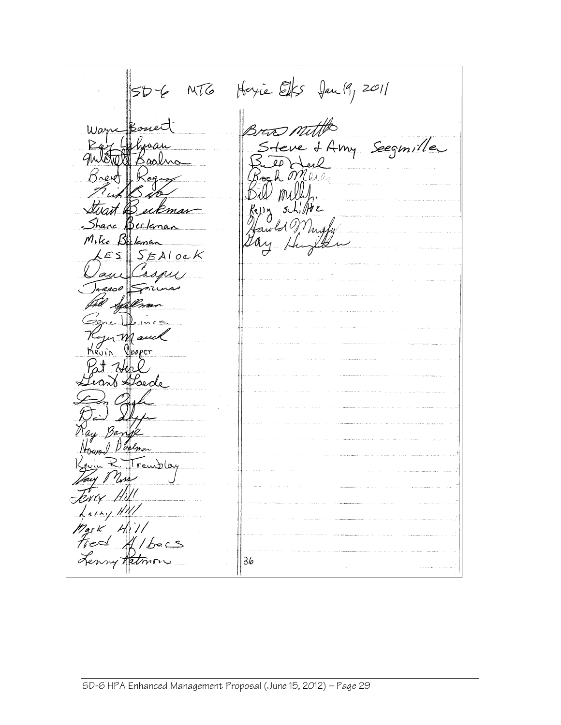50-6 MTG Hoyie Elfs Jan 19, 2011 There of Amy Seegmille D mill art Beckman  $g\lambda$ , He re Beckona Mike Buleman  $ESSST$ aux  $30<sup>o</sup>$ Syllen er Mauca glooper Hoede Houm! Darly TTreublog iny H Mark Hill<br>Fred Albers<br>Lenny Ratmon 36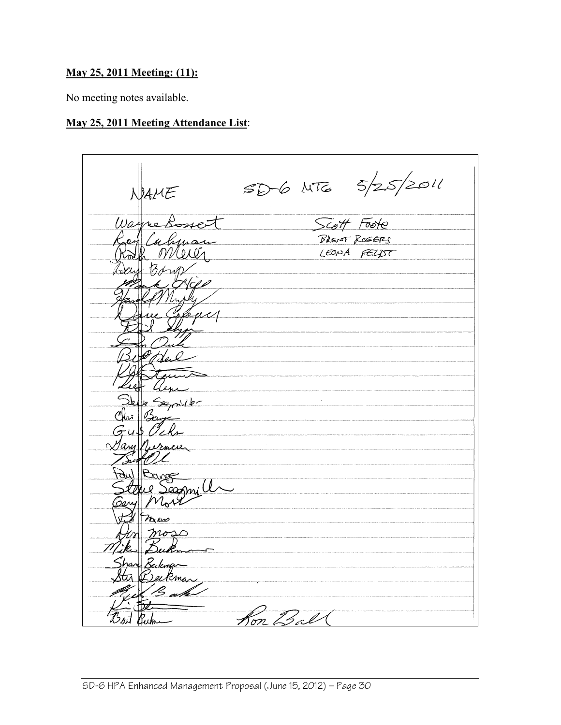# **May 25, 2011 Meeting: (11):**

No meeting notes available.

# **May 25, 2011 Meeting Attendance List**:

 $SD6$  NTG  $5/25/2011$ Scott Foote Warne Calynai BRENT ROGERS LEONA FELDT Semiller Bange Sassnill  $n_{\omega}$  $\bigcap$ Zeekman Ron Ball Bast Ruba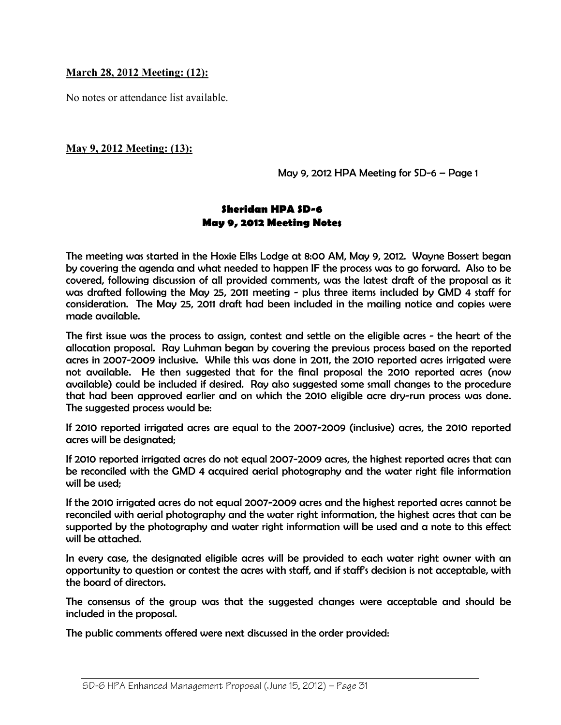### **March 28, 2012 Meeting: (12):**

No notes or attendance list available.

## **May 9, 2012 Meeting: (13):**

*May 9, 2012 HPA Meeting for SD-6 – Page 1* 

# *Sheridan HPA SD-6 May 9, 2012 Meeting Notes*

*The meeting was started in the Hoxie Elks Lodge at 8:00 AM, May 9, 2012. Wayne Bossert began by covering the agenda and what needed to happen IF the process was to go forward. Also to be covered, following discussion of all provided comments, was the latest draft of the proposal as it was drafted following the May 25, 2011 meeting - plus three items included by GMD 4 staff for consideration. The May 25, 2011 draft had been included in the mailing notice and copies were made available.* 

*The first issue was the process to assign, contest and settle on the eligible acres - the heart of the allocation proposal. Ray Luhman began by covering the previous process based on the reported acres in 2007-2009 inclusive. While this was done in 2011, the 2010 reported acres irrigated were not available. He then suggested that for the final proposal the 2010 reported acres (now available) could be included if desired. Ray also suggested some small changes to the procedure that had been approved earlier and on which the 2010 eligible acre dry-run process was done. The suggested process would be:* 

*If 2010 reported irrigated acres are equal to the 2007-2009 (inclusive) acres, the 2010 reported acres will be designated;* 

*If 2010 reported irrigated acres do not equal 2007-2009 acres, the highest reported acres that can be reconciled with the GMD 4 acquired aerial photography and the water right file information will be used;* 

*If the 2010 irrigated acres do not equal 2007-2009 acres and the highest reported acres cannot be reconciled with aerial photography and the water right information, the highest acres that can be supported by the photography and water right information will be used and a note to this effect will be attached.* 

In every case, the designated eligible acres will be provided to each water right owner with an *opportunity to question or contest the acres with staff, and if staff's decision is not acceptable, with the board of directors.* 

*The consensus of the group was that the suggested changes were acceptable and should be included in the proposal.* 

*The public comments offered were next discussed in the order provided:*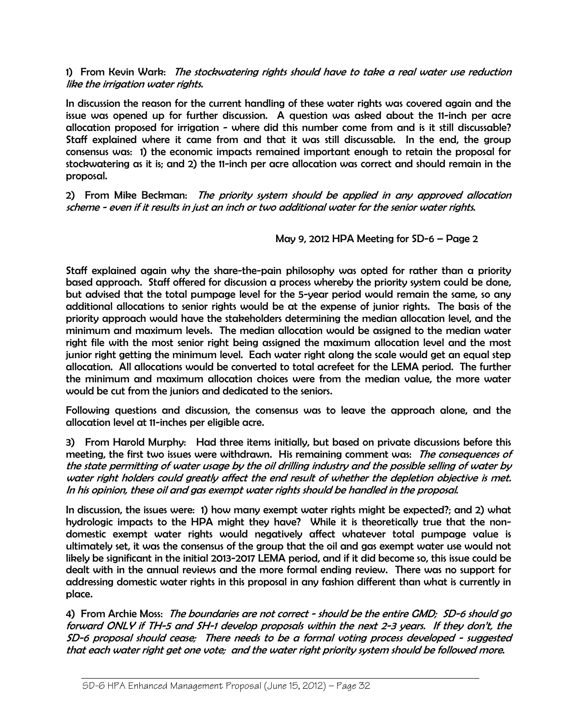#### *1) From Kevin Wark: The stockwatering rights should have to take a real water use reduction like the irrigation water rights.*

*In discussion the reason for the current handling of these water rights was covered again and the issue was opened up for further discussion. A question was asked about the 11-inch per acre allocation proposed for irrigation - where did this number come from and is it still discussable? Staff explained where it came from and that it was still discussable. In the end, the group consensus was: 1) the economic impacts remained important enough to retain the proposal for stockwatering as it is; and 2) the 11-inch per acre allocation was correct and should remain in the proposal.* 

*2) From Mike Beckman: The priority system should be applied in any approved allocation scheme - even if it results in just an inch or two additional water for the senior water rights.* 

*May 9, 2012 HPA Meeting for SD-6 – Page 2* 

*Staff explained again why the share-the-pain philosophy was opted for rather than a priority based approach. Staff offered for discussion a process whereby the priority system could be done, but advised that the total pumpage level for the 5-year period would remain the same, so any additional allocations to senior rights would be at the expense of junior rights. The basis of the priority approach would have the stakeholders determining the median allocation level, and the minimum and maximum levels. The median allocation would be assigned to the median water right file with the most senior right being assigned the maximum allocation level and the most junior right getting the minimum level. Each water right along the scale would get an equal step allocation. All allocations would be converted to total acrefeet for the LEMA period. The further the minimum and maximum allocation choices were from the median value, the more water would be cut from the juniors and dedicated to the seniors.* 

*Following questions and discussion, the consensus was to leave the approach alone, and the allocation level at 11-inches per eligible acre.* 

*3) From Harold Murphy: Had three items initially, but based on private discussions before this meeting, the first two issues were withdrawn. His remaining comment was: The consequences of the state permitting of water usage by the oil drilling industry and the possible selling of water by water right holders could greatly affect the end result of whether the depletion objective is met. In his opinion, these oil and gas exempt water rights should be handled in the proposal.* 

*In discussion, the issues were: 1) how many exempt water rights might be expected?; and 2) what hydrologic impacts to the HPA might they have? While it is theoretically true that the nondomestic exempt water rights would negatively affect whatever total pumpage value is ultimately set, it was the consensus of the group that the oil and gas exempt water use would not likely be significant in the initial 2013-2017 LEMA period, and if it did become so, this issue could be dealt with in the annual reviews and the more formal ending review. There was no support for addressing domestic water rights in this proposal in any fashion different than what is currently in place.* 

*4) From Archie Moss: The boundaries are not correct - should be the entire GMD; SD-6 should go forward ONLY if TH-5 and SH-1 develop proposals within the next 2-3 years. If they don't, the SD-6 proposal should cease; There needs to be a formal voting process developed - suggested that each water right get one vote; and the water right priority system should be followed more.*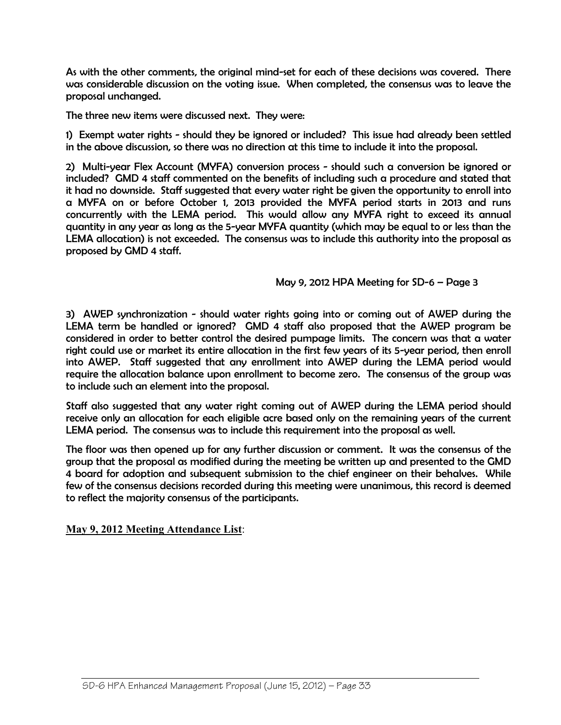*As with the other comments, the original mind-set for each of these decisions was covered. There was considerable discussion on the voting issue. When completed, the consensus was to leave the proposal unchanged.* 

*The three new items were discussed next. They were:* 

1) Exempt water rights - should they be ignored or included? This issue had already been settled *in the above discussion, so there was no direction at this time to include it into the proposal.* 

*2) Multi-year Flex Account (MYFA) conversion process - should such a conversion be ignored or included? GMD 4 staff commented on the benefits of including such a procedure and stated that it had no downside. Staff suggested that every water right be given the opportunity to enroll into a MYFA on or before October 1, 2013 provided the MYFA period starts in 2013 and runs concurrently with the LEMA period. This would allow any MYFA right to exceed its annual quantity in any year as long as the 5-year MYFA quantity (which may be equal to or less than the LEMA allocation) is not exceeded. The consensus was to include this authority into the proposal as proposed by GMD 4 staff.* 

*May 9, 2012 HPA Meeting for SD-6 – Page 3* 

*3) AWEP synchronization - should water rights going into or coming out of AWEP during the*  LEMA term be handled or ignored? GMD 4 staff also proposed that the AWEP program be *considered in order to better control the desired pumpage limits. The concern was that a water right could use or market its entire allocation in the first few years of its 5-year period, then enroll*  into AWEP. Staff suggested that any enrollment into AWEP during the LEMA period would *require the allocation balance upon enrollment to become zero. The consensus of the group was to include such an element into the proposal.* 

*Staff also suggested that any water right coming out of AWEP during the LEMA period should receive only an allocation for each eligible acre based only on the remaining years of the current LEMA period. The consensus was to include this requirement into the proposal as well.* 

*The floor was then opened up for any further discussion or comment. It was the consensus of the group that the proposal as modified during the meeting be written up and presented to the GMD 4 board for adoption and subsequent submission to the chief engineer on their behalves. While few of the consensus decisions recorded during this meeting were unanimous, this record is deemed to reflect the majority consensus of the participants.* 

**May 9, 2012 Meeting Attendance List**: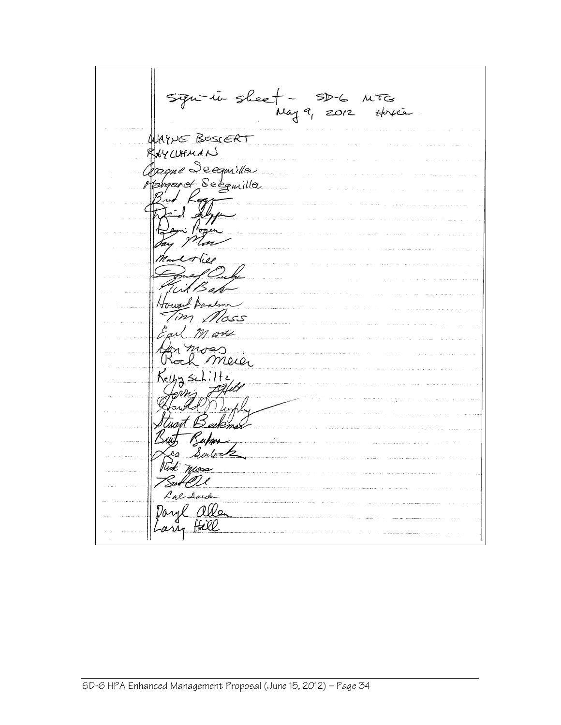Signitive sheet - SD-6 MTG AYVE BOSCERT CUHMAN (WHMAN)<br>qme Seegariller<br>garet Seegmiller )<br>(1 neg In Howard Bankon m ox as<br>Meier Kelly schiltz<br>Kelly schiltz<br>Gerrie Falle ruart Bei יז זה ע<br>טנג ביי Wick nass Lal Aude Daryl allen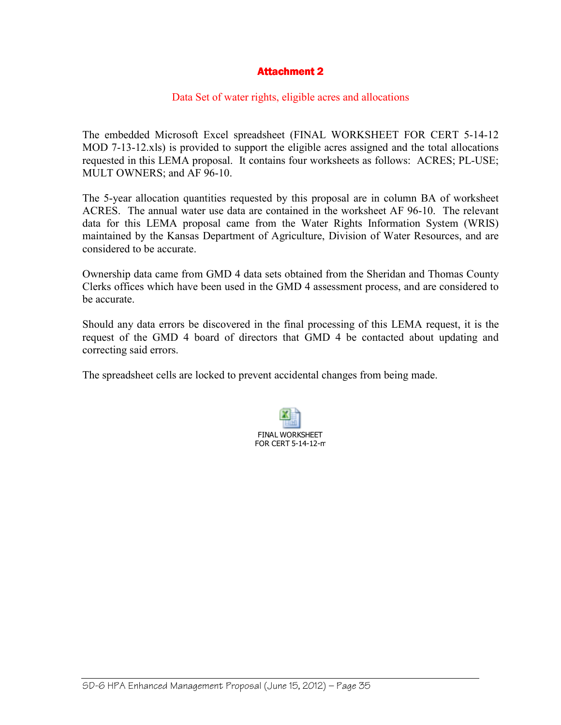## **Attachment 2**

#### Data Set of water rights, eligible acres and allocations

The embedded Microsoft Excel spreadsheet (FINAL WORKSHEET FOR CERT 5-14-12 MOD 7-13-12.xls) is provided to support the eligible acres assigned and the total allocations requested in this LEMA proposal. It contains four worksheets as follows: ACRES; PL-USE; MULT OWNERS; and AF 96-10.

The 5-year allocation quantities requested by this proposal are in column BA of worksheet ACRES. The annual water use data are contained in the worksheet AF 96-10. The relevant data for this LEMA proposal came from the Water Rights Information System (WRIS) maintained by the Kansas Department of Agriculture, Division of Water Resources, and are considered to be accurate.

Ownership data came from GMD 4 data sets obtained from the Sheridan and Thomas County Clerks offices which have been used in the GMD 4 assessment process, and are considered to be accurate.

Should any data errors be discovered in the final processing of this LEMA request, it is the request of the GMD 4 board of directors that GMD 4 be contacted about updating and correcting said errors.

The spreadsheet cells are locked to prevent accidental changes from being made.

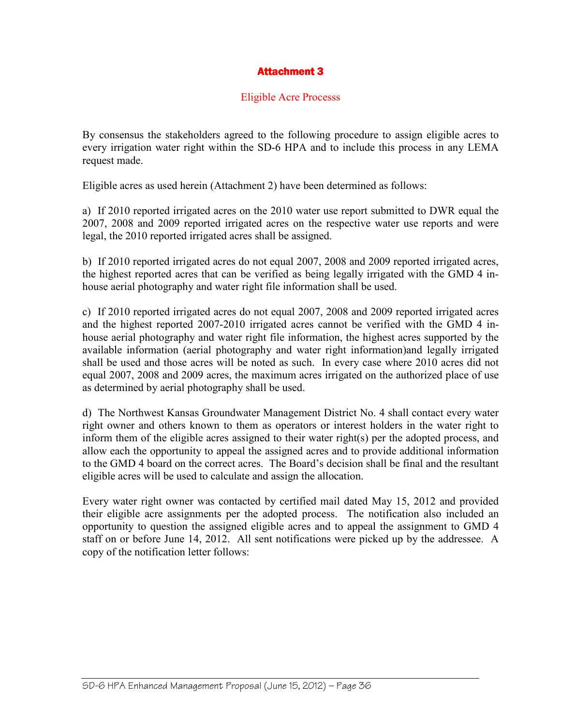# **Attachment 3**

#### Eligible Acre Processs

By consensus the stakeholders agreed to the following procedure to assign eligible acres to every irrigation water right within the SD-6 HPA and to include this process in any LEMA request made.

Eligible acres as used herein (Attachment 2) have been determined as follows:

a) If 2010 reported irrigated acres on the 2010 water use report submitted to DWR equal the 2007, 2008 and 2009 reported irrigated acres on the respective water use reports and were legal, the 2010 reported irrigated acres shall be assigned.

b) If 2010 reported irrigated acres do not equal 2007, 2008 and 2009 reported irrigated acres, the highest reported acres that can be verified as being legally irrigated with the GMD 4 inhouse aerial photography and water right file information shall be used.

c) If 2010 reported irrigated acres do not equal 2007, 2008 and 2009 reported irrigated acres and the highest reported 2007-2010 irrigated acres cannot be verified with the GMD 4 inhouse aerial photography and water right file information, the highest acres supported by the available information (aerial photography and water right information)and legally irrigated shall be used and those acres will be noted as such. In every case where 2010 acres did not equal 2007, 2008 and 2009 acres, the maximum acres irrigated on the authorized place of use as determined by aerial photography shall be used.

d) The Northwest Kansas Groundwater Management District No. 4 shall contact every water right owner and others known to them as operators or interest holders in the water right to inform them of the eligible acres assigned to their water right(s) per the adopted process, and allow each the opportunity to appeal the assigned acres and to provide additional information to the GMD 4 board on the correct acres. The Board's decision shall be final and the resultant eligible acres will be used to calculate and assign the allocation.

Every water right owner was contacted by certified mail dated May 15, 2012 and provided their eligible acre assignments per the adopted process. The notification also included an opportunity to question the assigned eligible acres and to appeal the assignment to GMD 4 staff on or before June 14, 2012. All sent notifications were picked up by the addressee. A copy of the notification letter follows: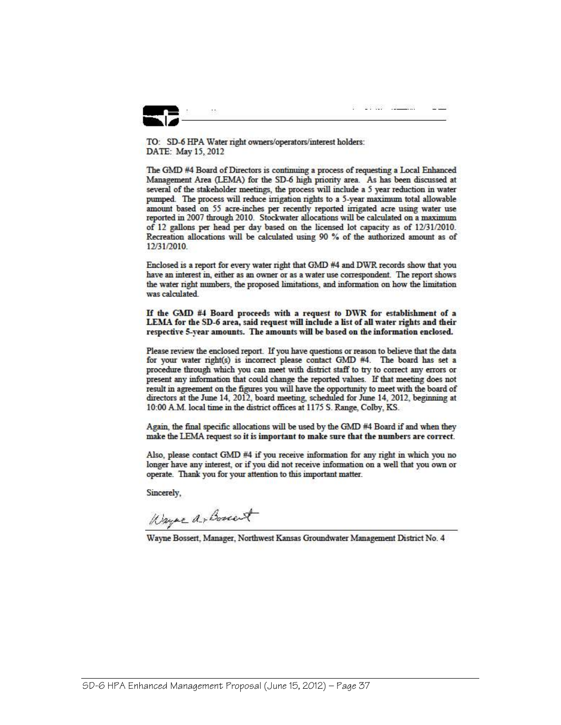a cana aliku

TO: SD-6 HPA Water right owners/operators/interest holders: DATE: May 15, 2012

The GMD #4 Board of Directors is continuing a process of requesting a Local Enhanced Management Area (LEMA) for the SD-6 high priority area. As has been discussed at several of the stakeholder meetings, the process will include a 5 year reduction in water pumped. The process will reduce irrigation rights to a 5-year maximum total allowable amount based on 55 acre-inches per recently reported irrigated acre using water use reported in 2007 through 2010. Stockwater allocations will be calculated on a maximum of 12 gallons per head per day based on the licensed lot capacity as of 12/31/2010. Recreation allocations will be calculated using 90 % of the authorized amount as of 12/31/2010.

Enclosed is a report for every water right that GMD #4 and DWR records show that you have an interest in, either as an owner or as a water use correspondent. The report shows the water right numbers, the proposed limitations, and information on how the limitation was calculated.

If the GMD #4 Board proceeds with a request to DWR for establishment of a LEMA for the SD-6 area, said request will include a list of all water rights and their respective 5-year amounts. The amounts will be based on the information enclosed.

Please review the enclosed report. If you have questions or reason to believe that the data for your water right(s) is incorrect please contact GMD #4. The board has set a procedure through which you can meet with district staff to try to correct any errors or present any information that could change the reported values. If that meeting does not result in agreement on the figures you will have the opportunity to meet with the board of directors at the June 14, 2012, board meeting, scheduled for June 14, 2012, beginning at 10:00 A.M. local time in the district offices at 1175 S. Range, Colby, KS.

Again, the final specific allocations will be used by the GMD #4 Board if and when they make the LEMA request so it is important to make sure that the numbers are correct.

Also, please contact GMD #4 if you receive information for any right in which you no longer have any interest, or if you did not receive information on a well that you own or operate. Thank you for your attention to this important matter.

Sincerely.

Wayne a bonest

Wayne Bossert, Manager, Northwest Kansas Groundwater Management District No. 4